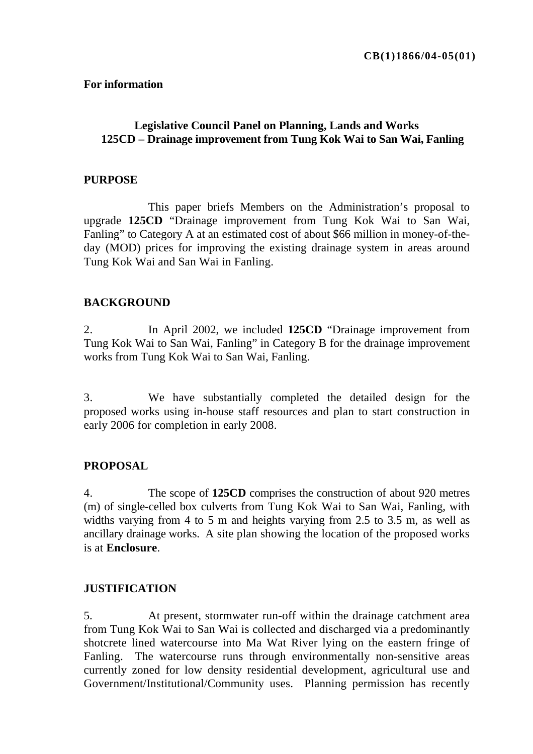#### **For information**

# **Legislative Council Panel on Planning, Lands and Works 125CD – Drainage improvement from Tung Kok Wai to San Wai, Fanling**

#### **PURPOSE**

 This paper briefs Members on the Administration's proposal to upgrade **125CD** "Drainage improvement from Tung Kok Wai to San Wai, Fanling" to Category A at an estimated cost of about \$66 million in money-of-theday (MOD) prices for improving the existing drainage system in areas around Tung Kok Wai and San Wai in Fanling.

#### **BACKGROUND**

2. In April 2002, we included **125CD** "Drainage improvement from Tung Kok Wai to San Wai, Fanling" in Category B for the drainage improvement works from Tung Kok Wai to San Wai, Fanling.

3. We have substantially completed the detailed design for the proposed works using in-house staff resources and plan to start construction in early 2006 for completion in early 2008.

## **PROPOSAL**

4. The scope of **125CD** comprises the construction of about 920 metres (m) of single-celled box culverts from Tung Kok Wai to San Wai, Fanling, with widths varying from 4 to 5 m and heights varying from 2.5 to 3.5 m, as well as ancillary drainage works. A site plan showing the location of the proposed works is at **Enclosure**.

## **JUSTIFICATION**

5. At present, stormwater run-off within the drainage catchment area from Tung Kok Wai to San Wai is collected and discharged via a predominantly shotcrete lined watercourse into Ma Wat River lying on the eastern fringe of Fanling. The watercourse runs through environmentally non-sensitive areas currently zoned for low density residential development, agricultural use and Government/Institutional/Community uses. Planning permission has recently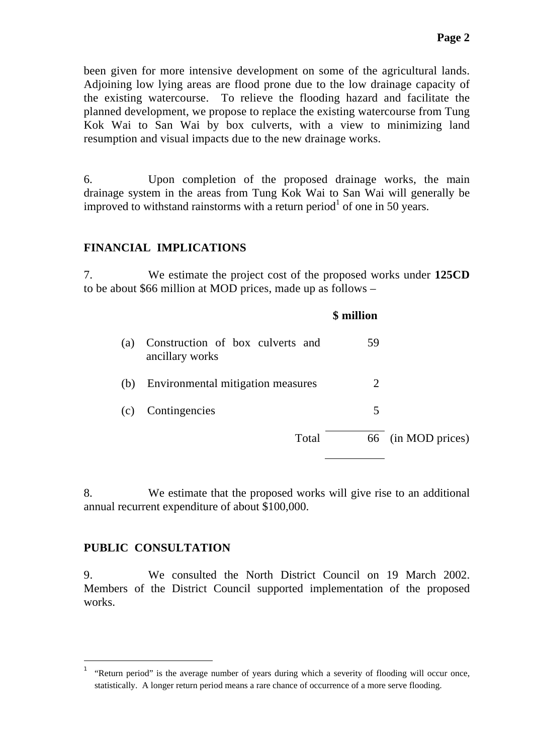been given for more intensive development on some of the agricultural lands. Adjoining low lying areas are flood prone due to the low drainage capacity of the existing watercourse. To relieve the flooding hazard and facilitate the planned development, we propose to replace the existing watercourse from Tung Kok Wai to San Wai by box culverts, with a view to minimizing land resumption and visual impacts due to the new drainage works.

6. Upon completion of the proposed drainage works, the main drainage system in the areas from Tung Kok Wai to San Wai will generally be improved to withstand rainstorms with a return period<sup>1</sup> of one in 50 years.

## **FINANCIAL IMPLICATIONS**

7. We estimate the project cost of the proposed works under **125CD** to be about \$66 million at MOD prices, made up as follows –

|     |                                                     | \$ million                  |                    |
|-----|-----------------------------------------------------|-----------------------------|--------------------|
| (a) | Construction of box culverts and<br>ancillary works | 59                          |                    |
| (b) | Environmental mitigation measures                   | $\mathcal{D}_{\mathcal{L}}$ |                    |
| (c) | Contingencies                                       | 5                           |                    |
|     | Total                                               |                             | 66 (in MOD prices) |
|     |                                                     |                             |                    |

8. We estimate that the proposed works will give rise to an additional annual recurrent expenditure of about \$100,000.

#### **PUBLIC CONSULTATION**

Ī.

9. We consulted the North District Council on 19 March 2002. Members of the District Council supported implementation of the proposed works.

<sup>1</sup> "Return period" is the average number of years during which a severity of flooding will occur once, statistically. A longer return period means a rare chance of occurrence of a more serve flooding.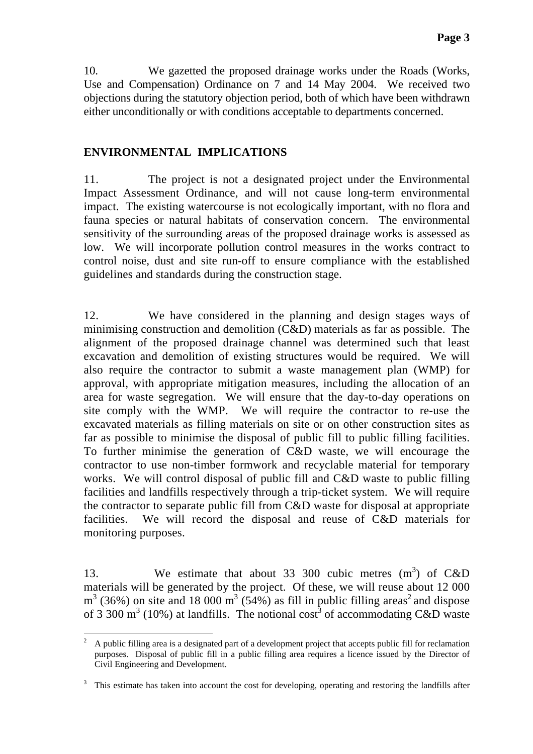10. We gazetted the proposed drainage works under the Roads (Works, Use and Compensation) Ordinance on 7 and 14 May 2004. We received two objections during the statutory objection period, both of which have been withdrawn either unconditionally or with conditions acceptable to departments concerned.

# **ENVIRONMENTAL IMPLICATIONS**

11. The project is not a designated project under the Environmental Impact Assessment Ordinance, and will not cause long-term environmental impact. The existing watercourse is not ecologically important, with no flora and fauna species or natural habitats of conservation concern. The environmental sensitivity of the surrounding areas of the proposed drainage works is assessed as low. We will incorporate pollution control measures in the works contract to control noise, dust and site run-off to ensure compliance with the established guidelines and standards during the construction stage.

12. We have considered in the planning and design stages ways of minimising construction and demolition (C&D) materials as far as possible. The alignment of the proposed drainage channel was determined such that least excavation and demolition of existing structures would be required. We will also require the contractor to submit a waste management plan (WMP) for approval, with appropriate mitigation measures, including the allocation of an area for waste segregation. We will ensure that the day-to-day operations on site comply with the WMP. We will require the contractor to re-use the excavated materials as filling materials on site or on other construction sites as far as possible to minimise the disposal of public fill to public filling facilities. To further minimise the generation of C&D waste, we will encourage the contractor to use non-timber formwork and recyclable material for temporary works. We will control disposal of public fill and C&D waste to public filling facilities and landfills respectively through a trip-ticket system. We will require the contractor to separate public fill from C&D waste for disposal at appropriate facilities. We will record the disposal and reuse of C&D materials for monitoring purposes.

13. We estimate that about 33 300 cubic metres  $(m<sup>3</sup>)$  of C&D materials will be generated by the project. Of these, we will reuse about 12 000  $m<sup>3</sup>$  (36%) on site and 18 000  $m<sup>3</sup>$  (54%) as fill in public filling areas<sup>2</sup> and dispose of 3 300 m<sup>3</sup> (10%) at landfills. The notional cost<sup>3</sup> of accommodating C&D waste

i.

<sup>2</sup> A public filling area is a designated part of a development project that accepts public fill for reclamation purposes. Disposal of public fill in a public filling area requires a licence issued by the Director of Civil Engineering and Development.

<sup>3</sup> This estimate has taken into account the cost for developing, operating and restoring the landfills after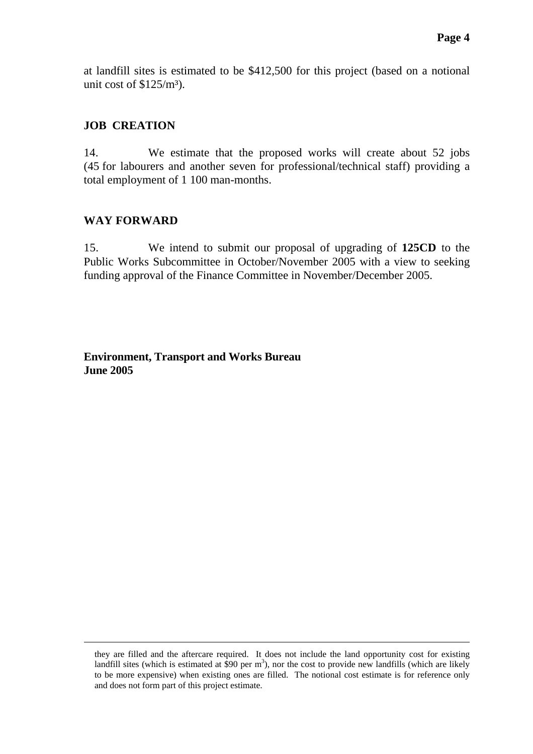at landfill sites is estimated to be \$412,500 for this project (based on a notional unit cost of  $$125/m<sup>3</sup>$ .

## **JOB CREATION**

14. We estimate that the proposed works will create about 52 jobs (45 for labourers and another seven for professional/technical staff) providing a total employment of 1 100 man-months.

# **WAY FORWARD**

i.

15. We intend to submit our proposal of upgrading of **125CD** to the Public Works Subcommittee in October/November 2005 with a view to seeking funding approval of the Finance Committee in November/December 2005.

**Environment, Transport and Works Bureau June 2005** 

they are filled and the aftercare required. It does not include the land opportunity cost for existing landfill sites (which is estimated at \$90 per  $m<sup>3</sup>$ ), nor the cost to provide new landfills (which are likely to be more expensive) when existing ones are filled. The notional cost estimate is for reference only and does not form part of this project estimate.